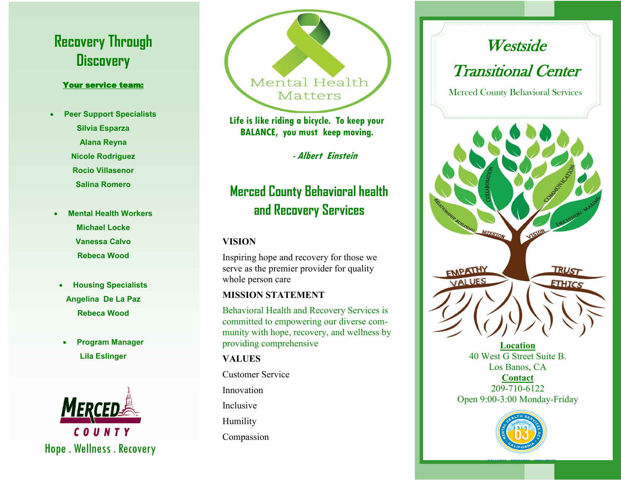# **Recovery Through Discovery**

#### Your service team:

- **Peer Support Specialists Silvia Esparza Alana Reyna Nicole Rodriguez Rocio Villasenor Salina Romero**
- **Mental Health Workers Michael Locke Vanessa Calvo Rebeca Wood**
- **Housing Specialists Angelina De La Paz Rebeca Wood**
- **Program Manager Lila Eslinger**



Hope . Wellness . Recovery



**Life is like riding a bicycle. To keep your BALANCE, you must keep moving.** 

 **- Albert Einstein**

## **Merced County Behavioral health and Recovery Services**

#### **VISION**

Inspiring hope and recovery for those we serve as the premier provider for quality whole person care

#### **MISSION STATEMENT**

Behavioral Health and Recovery Services is committed to empowering our diverse community with hope, recovery, and wellness by providing comprehensive

#### **VALUES**

Customer Service Innovation Inclusive Humility Compassion



**Location** 40 West G Street Suite B. Los Banos, CA **Contact** 209-710-6122 Open 9:00-3:00 Monday-Friday